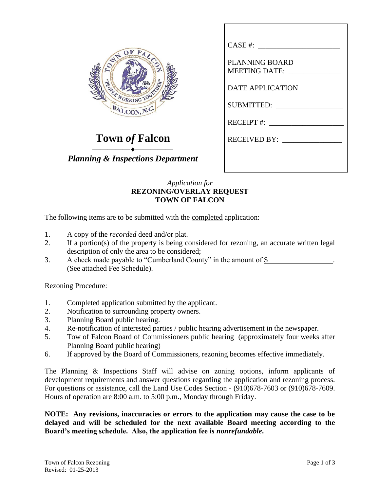

**Town** *of* **Falcon**

⎯⎯⎯⎯⎯⎯⎯⎯⎯⎯ *Planning & Inspections Department*

## *Application for* **REZONING/OVERLAY REQUEST TOWN OF FALCON**

The following items are to be submitted with the completed application:

- 1. A copy of the *recorded* deed and/or plat.
- 2. If a portion(s) of the property is being considered for rezoning, an accurate written legal description of only the area to be considered;
- 3. A check made payable to "Cumberland County" in the amount of \$ . (See attached Fee Schedule).

Rezoning Procedure:

- 1. Completed application submitted by the applicant.
- 2. Notification to surrounding property owners.
- 3. Planning Board public hearing.
- 4. Re-notification of interested parties / public hearing advertisement in the newspaper.
- 5. Tow of Falcon Board of Commissioners public hearing (approximately four weeks after Planning Board public hearing)
- 6. If approved by the Board of Commissioners, rezoning becomes effective immediately.

The Planning & Inspections Staff will advise on zoning options, inform applicants of development requirements and answer questions regarding the application and rezoning process. For questions or assistance, call the Land Use Codes Section - (910)678-7603 or (910)678-7609. Hours of operation are 8:00 a.m. to 5:00 p.m., Monday through Friday.

**NOTE: Any revisions, inaccuracies or errors to the application may cause the case to be delayed and will be scheduled for the next available Board meeting according to the Board's meeting schedule. Also, the application fee is** *nonrefundable***.**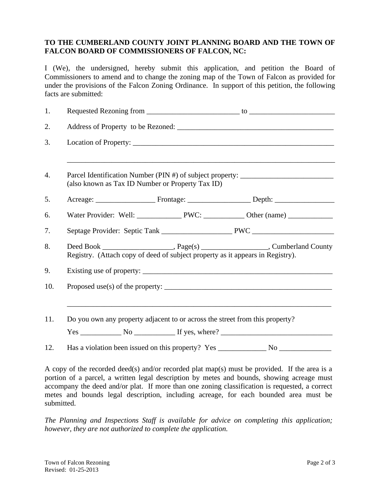## **TO THE CUMBERLAND COUNTY JOINT PLANNING BOARD AND THE TOWN OF FALCON BOARD OF COMMISSIONERS OF FALCON, NC:**

I (We), the undersigned, hereby submit this application, and petition the Board of Commissioners to amend and to change the zoning map of the Town of Falcon as provided for under the provisions of the Falcon Zoning Ordinance. In support of this petition, the following facts are submitted:

| 1.  |                                                                                                                                      |
|-----|--------------------------------------------------------------------------------------------------------------------------------------|
| 2.  |                                                                                                                                      |
| 3.  |                                                                                                                                      |
| 4.  | Parcel Identification Number (PIN #) of subject property: ______________________<br>(also known as Tax ID Number or Property Tax ID) |
| 5.  |                                                                                                                                      |
| 6.  |                                                                                                                                      |
| 7.  |                                                                                                                                      |
| 8.  | Registry. (Attach copy of deed of subject property as it appears in Registry).                                                       |
| 9.  |                                                                                                                                      |
| 10. | Proposed use(s) of the property: $\sqrt{ }$                                                                                          |
| 11. | Do you own any property adjacent to or across the street from this property?                                                         |
|     | $Yes \_$ No $_$ If yes, where? $_$                                                                                                   |
| 12. |                                                                                                                                      |

A copy of the recorded deed(s) and/or recorded plat map(s) must be provided. If the area is a portion of a parcel, a written legal description by metes and bounds, showing acreage must accompany the deed and/or plat. If more than one zoning classification is requested, a correct metes and bounds legal description, including acreage, for each bounded area must be submitted.

*The Planning and Inspections Staff is available for advice on completing this application; however, they are not authorized to complete the application.*